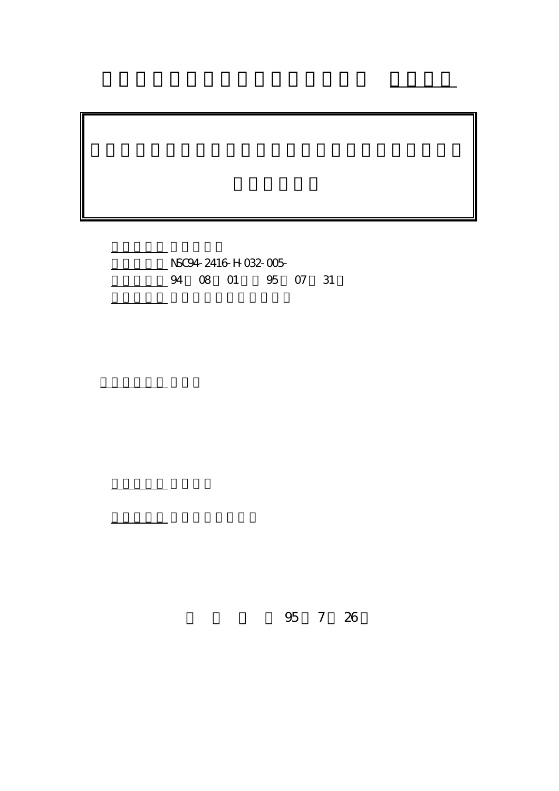計畫編號: NSC94-2416-H-032-005- 4 08 01 95 07 31

執行單位: 淡江大學管理科學研究所

計畫主持人: 張紘炬

報告類型: 精簡報告

。<br>在前書 : 本計畫可公開查詢

行政院國家科學委員會專題研究計畫 成果報告

95 7 26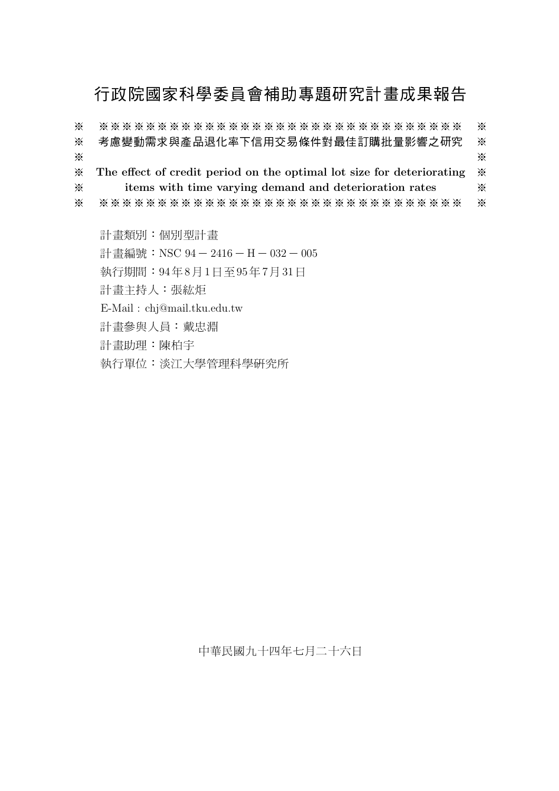# 行政院國家科學委員會補助專題研究計畫成果報告

\*\*\*\*\*\*\*\*\*\*\*\*\*\*\*\*\*\*\*\*\*\*\*\*\*\*\*\*\*\*\*\*  $\times$  $\mathbb{X}$  $\times$ 考慮變動需求與產品退化率下信用交易條件對最佳訂購批量影響之研究  $\times$  $\times$  $\times$ The effect of credit period on the optimal lot size for deteriorating  $\times$  $\times$ items with time varying demand and deterioration rates  $\times$  $\times$ \*\*\*\*\*\*\*\*\*\*\*\*\*\*\*\*\*\*\*\*\*\*\*\*\*\*\*\*\*\*  $\times$  $\times$ 

計畫類別:個別型計畫

計畫編號: NSC 94-2416-H-032-005

執行期間: 94年8月1日至95年7月31日

計畫主持人:張紘炬

E-Mail: chj@mail.tku.edu.tw

計畫參與人員:戴忠淵

計書助理:陳柏宇

執行單位:淡江大學管理科學研究所

中華民國九十四年七月二十六日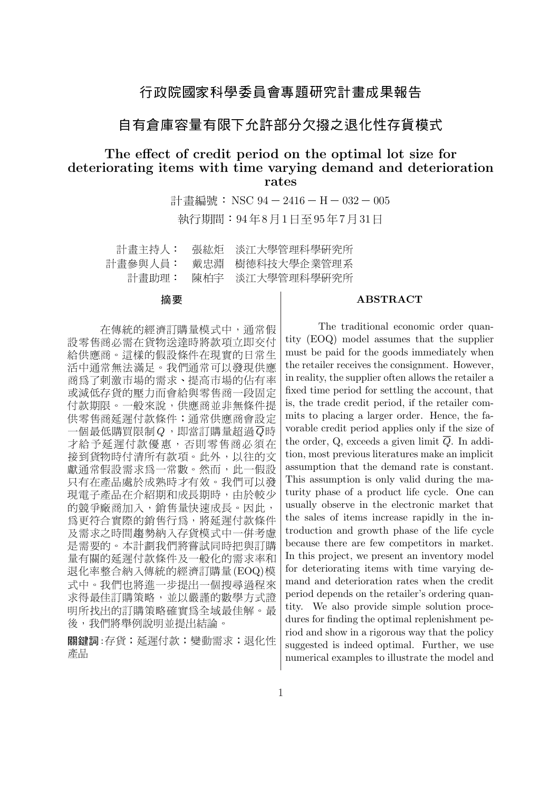### 行政院國家科學委員會專題研究計畫成果報告

### 自有倉庫容量有限下允許部分欠撥之退化性存貨模式

### The effect of credit period on the optimal lot size for deteriorating items with time varying demand and deterioration rates

計畫編號: NSC 94-2416-H-032-005 執行期間: 94年8月1日至95年7月31日

| 計畫主持人:  | 張紘炬 | 淡江大學管理科學研究所     |
|---------|-----|-----------------|
| 計畫參與人員: | 戴忠淵 | 樹德科技大學企業管理系     |
| 計畫助理:   |     | 陳柏宇 淡江大學管理科學研究所 |

#### 摘要

#### **ABSTRACT**

在傳統的經濟訂購量模式中,通常假 設零售商必需在貨物送達時將款項立即交付 給供應商。這樣的假設條件在現實的日常生 活中通常無法滿足。我們通常可以發現供應 商為了刺激市場的需求、提高市場的佔有率 或減低存貨的壓力而會給與零售商一段固定 付款期限。一般來說,供應商並非無條件提 供零售商延遲付款條件;通常供應商會設定 一個最低購買限制 $Q$ ,即當訂購量超過 $\overline{Q}$ 時 才給予延遲付款優惠,否則零售商必須在 接到貨物時付清所有款項。此外,以往的文 獻通常假設需求為一常數。然而,此一假設 只有在產品處於成熟時才有效。我們可以發 現電子產品在介紹期和成長期時,由於較少 的競爭廠商加入,銷售量快速成長。因此, 為更符合實際的銷售行為,將延遲付款條件 及需求之時間趨勢納入存貨模式中一併考慮 是需要的。本計劃我們將嘗試同時把與訂購 量有關的延遲付款條件及一般化的需求率和 退化率整合納入傳統的經濟訂購量(EOQ)模 式中。我們也將進一步提出一個搜尋過程來 求得最佳訂購策略, 並以嚴謹的數學方式證 明所找出的訂購策略確實爲全域最佳解。最 後,我們將舉例說明並提出結論。

關鍵詞:存貨;延遲付款;變動需求;退化性 產品

The traditional economic order quantity (EOQ) model assumes that the supplier must be paid for the goods immediately when the retailer receives the consignment. However, in reality, the supplier often allows the retailer a fixed time period for settling the account, that is, the trade credit period, if the retailer commits to placing a larger order. Hence, the favorable credit period applies only if the size of the order, Q, exceeds a given limit  $\overline{Q}$ . In addition, most previous literatures make an implicit assumption that the demand rate is constant. This assumption is only valid during the maturity phase of a product life cycle. One can usually observe in the electronic market that the sales of items increase rapidly in the introduction and growth phase of the life cycle because there are few competitors in market. In this project, we present an inventory model for deteriorating items with time varying demand and deterioration rates when the credit period depends on the retailer's ordering quantity. We also provide simple solution procedures for finding the optimal replenishment period and show in a rigorous way that the policy suggested is indeed optimal. Further, we use numerical examples to illustrate the model and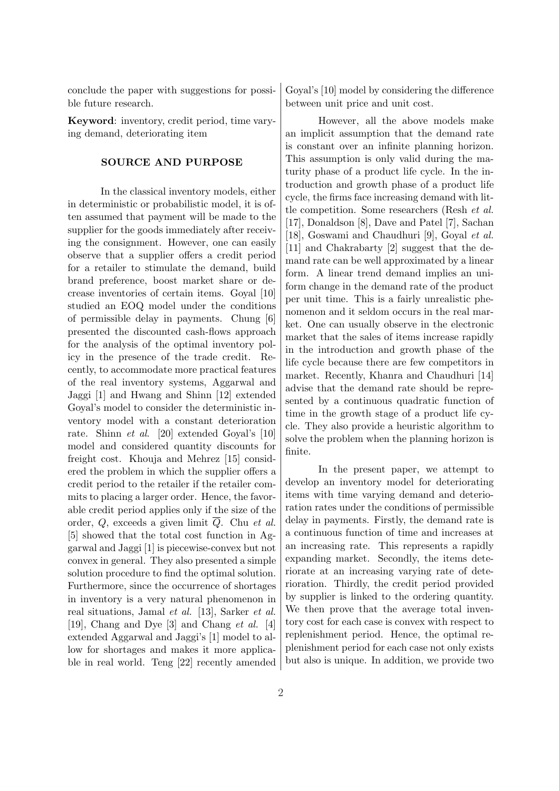conclude the paper with suggestions for possible future research.

Keyword: inventory, credit period, time varying demand, deteriorating item

### SOURCE AND PURPOSE

In the classical inventory models, either in deterministic or probabilistic model, it is often assumed that payment will be made to the supplier for the goods immediately after receiving the consignment. However, one can easily observe that a supplier offers a credit period for a retailer to stimulate the demand, build brand preference, boost market share or decrease inventories of certain items. Goyal [10] studied an EOQ model under the conditions of permissible delay in payments. Chung [6] presented the discounted cash-flows approach for the analysis of the optimal inventory policy in the presence of the trade credit. Recently, to accommodate more practical features of the real inventory systems, Aggarwal and Jaggi [1] and Hwang and Shinn [12] extended Goyal's model to consider the deterministic inventory model with a constant deterioration rate. Shinn et al. [20] extended Goyal's [10] model and considered quantity discounts for freight cost. Khouja and Mehrez [15] considered the problem in which the supplier offers a credit period to the retailer if the retailer commits to placing a larger order. Hence, the favorable credit period applies only if the size of the order,  $Q$ , exceeds a given limit  $\overline{Q}$ . Chu *et al.* [5] showed that the total cost function in Aggarwal and Jaggi [1] is piecewise-convex but not convex in general. They also presented a simple solution procedure to find the optimal solution. Furthermore, since the occurrence of shortages in inventory is a very natural phenomenon in real situations, Jamal et al. [13], Sarker et al. [19], Chang and Dye [3] and Chang et al. [4] extended Aggarwal and Jaggi's [1] model to allow for shortages and makes it more applicable in real world. Teng [22] recently amended Goyal's [10] model by considering the difference between unit price and unit cost.

However, all the above models make an implicit assumption that the demand rate is constant over an infinite planning horizon. This assumption is only valid during the maturity phase of a product life cycle. In the introduction and growth phase of a product life cycle, the firms face increasing demand with little competition. Some researchers (Resh et al. [17], Donaldson [8], Dave and Patel [7], Sachan [18], Goswami and Chaudhuri [9], Goyal et al. [11] and Chakrabarty [2] suggest that the demand rate can be well approximated by a linear form. A linear trend demand implies an uniform change in the demand rate of the product per unit time. This is a fairly unrealistic phenomenon and it seldom occurs in the real market. One can usually observe in the electronic market that the sales of items increase rapidly in the introduction and growth phase of the life cycle because there are few competitors in market. Recently, Khanra and Chaudhuri [14] advise that the demand rate should be represented by a continuous quadratic function of time in the growth stage of a product life cycle. They also provide a heuristic algorithm to solve the problem when the planning horizon is finite.

In the present paper, we attempt to develop an inventory model for deteriorating items with time varying demand and deterioration rates under the conditions of permissible delay in payments. Firstly, the demand rate is a continuous function of time and increases at an increasing rate. This represents a rapidly expanding market. Secondly, the items deteriorate at an increasing varying rate of deterioration. Thirdly, the credit period provided by supplier is linked to the ordering quantity. We then prove that the average total inventory cost for each case is convex with respect to replenishment period. Hence, the optimal replenishment period for each case not only exists but also is unique. In addition, we provide two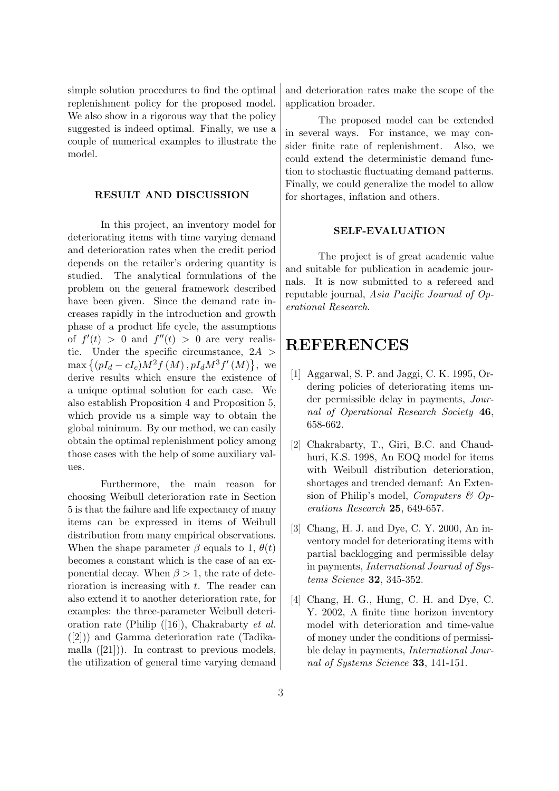simple solution procedures to find the optimal replenishment policy for the proposed model. We also show in a rigorous way that the policy suggested is indeed optimal. Finally, we use a couple of numerical examples to illustrate the model.

#### RESULT AND DISCUSSION

In this project, an inventory model for deteriorating items with time varying demand and deterioration rates when the credit period depends on the retailer's ordering quantity is studied. The analytical formulations of the problem on the general framework described have been given. Since the demand rate increases rapidly in the introduction and growth phase of a product life cycle, the assumptions of  $f'(t) > 0$  and  $f''(t) > 0$  are very realistic. Under the specific circumstance,  $2A >$ tic. Onder the specific circumstance,  $2A >$ <br>max  $\{(pI_d - cI_c)M^2f(M), pI_dM^3f'(M)\}\$ , we derive results which ensure the existence of a unique optimal solution for each case. We also establish Proposition 4 and Proposition 5, which provide us a simple way to obtain the global minimum. By our method, we can easily obtain the optimal replenishment policy among those cases with the help of some auxiliary values.

Furthermore, the main reason for choosing Weibull deterioration rate in Section 5 is that the failure and life expectancy of many items can be expressed in items of Weibull distribution from many empirical observations. When the shape parameter  $\beta$  equals to 1,  $\theta(t)$ becomes a constant which is the case of an exponential decay. When  $\beta > 1$ , the rate of deterioration is increasing with t. The reader can also extend it to another deterioration rate, for examples: the three-parameter Weibull deterioration rate (Philip ([16]), Chakrabarty et al. ([2])) and Gamma deterioration rate (Tadikamalla  $([21])$ ). In contrast to previous models, the utilization of general time varying demand and deterioration rates make the scope of the application broader.

The proposed model can be extended in several ways. For instance, we may consider finite rate of replenishment. Also, we could extend the deterministic demand function to stochastic fluctuating demand patterns. Finally, we could generalize the model to allow for shortages, inflation and others.

#### SELF-EVALUATION

The project is of great academic value and suitable for publication in academic journals. It is now submitted to a refereed and reputable journal, Asia Pacific Journal of Operational Research.

## REFERENCES

- [1] Aggarwal, S. P. and Jaggi, C. K. 1995, Ordering policies of deteriorating items under permissible delay in payments, Journal of Operational Research Society 46, 658-662.
- [2] Chakrabarty, T., Giri, B.C. and Chaudhuri, K.S. 1998, An EOQ model for items with Weibull distribution deterioration, shortages and trended demanf: An Extension of Philip's model, *Computers*  $\mathcal{B}$  *Op*erations Research 25, 649-657.
- [3] Chang, H. J. and Dye, C. Y. 2000, An inventory model for deteriorating items with partial backlogging and permissible delay in payments, International Journal of Systems Science 32, 345-352.
- [4] Chang, H. G., Hung, C. H. and Dye, C. Y. 2002, A finite time horizon inventory model with deterioration and time-value of money under the conditions of permissible delay in payments, International Journal of Systems Science 33, 141-151.